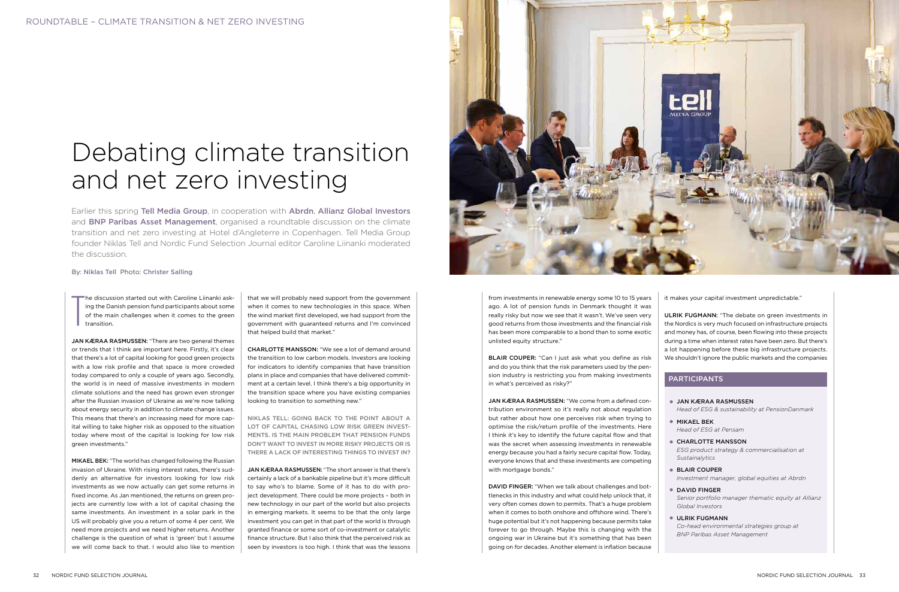Earlier this spring Tell Media Group, in cooperation with Abrdn, Allianz Global Investors and **BNP Paribas Asset Management**, organised a roundtable discussion on the climate transition and net zero investing at Hotel d'Angleterre in Copenhagen. Tell Media Group founder Niklas Tell and Nordic Fund Selection Journal editor Caroline Liinanki moderated the discussion.

#### By: Niklas Tell Photo: Christer Salling

# Debating climate transition and net zero investing

T he discussion started out with Caroline Liinanki asking the Danish pension fund participants about some of the main challenges when it comes to the green transition.

JAN KÆRAA RASMUSSEN: "There are two general themes or trends that I think are important here. Firstly, it's clear that there's a lot of capital looking for good green projects with a low risk profile and that space is more crowded today compared to only a couple of years ago. Secondly, the world is in need of massive investments in modern climate solutions and the need has grown even stronger after the Russian invasion of Ukraine as we're now talking about energy security in addition to climate change issues. This means that there's an increasing need for more capital willing to take higher risk as opposed to the situation today where most of the capital is looking for low risk green investments."

MIKAEL BEK: "The world has changed following the Russian invasion of Ukraine. With rising interest rates, there's suddenly an alternative for investors looking for low risk investments as we now actually can get some returns in fixed income. As Jan mentioned, the returns on green projects are currently low with a lot of capital chasing the same investments. An investment in a solar park in the US will probably give you a return of some 4 per cent. We need more projects and we need higher returns. Another challenge is the question of what is 'green' but I assume we will come back to that. I would also like to mention

that we will probably need support from the government when it comes to new technologies in this space. When the wind market first developed, we had support from the government with guaranteed returns and I'm convinced that helped build that market."

CHARLOTTE MANSSON: "We see a lot of demand around the transition to low carbon models. Investors are looking for indicators to identify companies that have transition plans in place and companies that have delivered commitment at a certain level. I think there's a big opportunity in the transition space where you have existing companies looking to transition to something new."

NIKLAS TELL: GOING BACK TO THE POINT ABOUT A LOT OF CAPITAL CHASING LOW RISK GREEN INVEST-MENTS. IS THE MAIN PROBLEM THAT PENSION FUNDS DON'T WANT TO INVEST IN MORE RISKY PROJECTS OR IS THERE A LACK OF INTERESTING THINGS TO INVEST IN?

JAN KÆRAA RASMUSSEN: "The short answer is that there's certainly a lack of a bankable pipeline but it's more difficult to say who's to blame. Some of it has to do with project development. There could be more projects – both in new technology in our part of the world but also projects in emerging markets. It seems to be that the only large investment you can get in that part of the world is through granted finance or some sort of co-investment or catalytic finance structure. But I also think that the perceived risk as seen by investors is too high. I think that was the lessons



from investments in renewable energy some 10 to 15 years ago. A lot of pension funds in Denmark thought it was really risky but now we see that it wasn't. We've seen very good returns from those investments and the financial risk has been more comparable to a bond than to some exotic unlisted equity structure."

BLAIR COUPER: "Can I just ask what you define as risk and do you think that the risk parameters used by the pension industry is restricting you from making investments in what's perceived as risky?"

JAN KÆRAA RASMUSSEN: "We come from a defined contribution environment so it's really not about regulation but rather about how one perceives risk when trying to optimise the risk/return profile of the investments. Here I think it's key to identify the future capital flow and that was the secret when assessing investments in renewable energy because you had a fairly secure capital flow. Today, everyone knows that and these investments are competing with mortgage bonds."

DAVID FINGER: "When we talk about challenges and bottlenecks in this industry and what could help unlock that, it very often comes down to permits. That's a huge problem when it comes to both onshore and offshore wind. There's huge potential but it's not happening because permits take forever to go through. Maybe this is changing with the ongoing war in Ukraine but it's something that has been going on for decades. Another element is inflation because

it makes your capital investment unpredictable."

ULRIK FUGMANN: "The debate on green investments in the Nordics is very much focused on infrastructure projects and money has, of course, been flowing into these projects during a time when interest rates have been zero. But there's a lot happening before these big infrastructure projects. We shouldn't ignore the public markets and the companies

| <b>• JAN KÆRAA RASMUSSEN</b><br>Head of ESG & sustainability at PensionDanmark                                      |
|---------------------------------------------------------------------------------------------------------------------|
| $\bullet$ MIKAEL BEK<br>Head of ESG at Pensam                                                                       |
| <b>• CHARLOTTE MANSSON</b><br>ESG product strategy & commercialisation at<br>Sustainalytics                         |
| ● BLAIR COUPER<br>Investment manager, global equities at Abrdn                                                      |
| • DAVID FINGER<br>$\bigcap$ and an another than the second contract of the second contract of $\bigcap_{i=1}^n A_i$ |

*Senior portfolio manager thematic equity at Allianz Global Investors*

• ULRIK FUGMANN *Co-head environmental strategies group at BNP Paribas Asset Management*

### PARTICIPANTS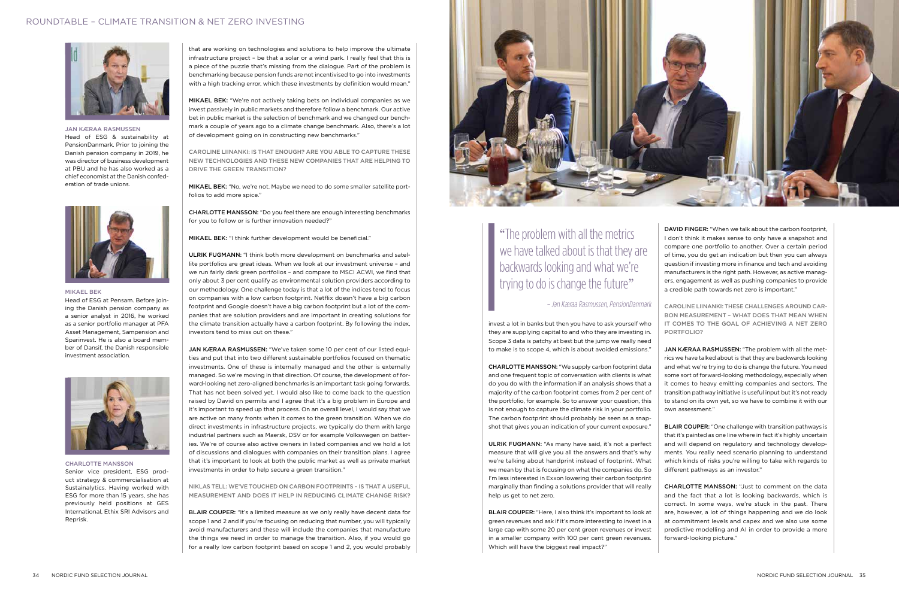that are working on technologies and solutions to help improve the ultimate infrastructure project – be that a solar or a wind park. I really feel that this is a piece of the puzzle that's missing from the dialogue. Part of the problem is benchmarking because pension funds are not incentivised to go into investments with a high tracking error, which these investments by definition would mean."

### ROUNDTABLE – CLIMATE TRANSITION & NET ZERO INVESTING



MIKAEL BEK: "We're not actively taking bets on individual companies as we invest passively in public markets and therefore follow a benchmark. Our active bet in public market is the selection of benchmark and we changed our benchmark a couple of years ago to a climate change benchmark. Also, there's a lot of development going on in constructing new benchmarks."

CAROLINE LIINANKI: IS THAT ENOUGH? ARE YOU ABLE TO CAPTURE THESE NEW TECHNOLOGIES AND THESE NEW COMPANIES THAT ARE HELPING TO DRIVE THE GREEN TRANSITION?

MIKAEL BEK: "No, we're not. Maybe we need to do some smaller satellite portfolios to add more spice."

CHARLOTTE MANSSON: "Do you feel there are enough interesting benchmarks for you to follow or is further innovation needed?"

MIKAEL BEK: "I think further development would be beneficial."

ULRIK FUGMANN: "I think both more development on benchmarks and satellite portfolios are great ideas. When we look at our investment universe – and we run fairly dark green portfolios – and compare to MSCI ACWI, we find that only about 3 per cent qualify as environmental solution providers according to our methodology. One challenge today is that a lot of the indices tend to focus on companies with a low carbon footprint. Netflix doesn't have a big carbon footprint and Google doesn't have a big carbon footprint but a lot of the companies that are solution providers and are important in creating solutions for the climate transition actually have a carbon footprint. By following the index, investors tend to miss out on these."

BLAIR COUPER: "It's a limited measure as we only really have decent data for scope 1 and 2 and if you're focusing on reducing that number, you will typically avoid manufacturers and these will include the companies that manufacture the things we need in order to manage the transition. Also, if you would go for a really low carbon footprint based on scope 1 and 2, you would probably

JAN KÆRAA RASMUSSEN: "We've taken some 10 per cent of our listed equities and put that into two different sustainable portfolios focused on thematic investments. One of these is internally managed and the other is externally managed. So we're moving in that direction. Of course, the development of forward-looking net zero-aligned benchmarks is an important task going forwards. That has not been solved yet. I would also like to come back to the question raised by David on permits and I agree that it's a big problem in Europe and it's important to speed up that process. On an overall level, I would say that we are active on many fronts when it comes to the green transition. When we do direct investments in infrastructure projects, we typically do them with large industrial partners such as Maersk, DSV or for example Volkswagen on batteries. We're of course also active owners in listed companies and we hold a lot of discussions and dialogues with companies on their transition plans. I agree that it's important to look at both the public market as well as private market investments in order to help secure a green transition."

JAN KÆRAA RASMUSSEN: "The problem with all the metrics we have talked about is that they are backwards looking and what we're trying to do is change the future. You need some sort of forward-looking methodology, especially when it comes to heavy emitting companies and sectors. The transition pathway initiative is useful input but it's not ready to stand on its own yet, so we have to combine it with our own assessment."

NIKLAS TELL: WE'VE TOUCHED ON CARBON FOOTPRINTS – IS THAT A USEFUL MEASUREMENT AND DOES IT HELP IN REDUCING CLIMATE CHANGE RISK?

# "The problem with all the metrics we have talked about is that they are backwards looking and what we're trying to do is change the future"

invest a lot in banks but then you have to ask yourself who they are supplying capital to and who they are investing in. Scope 3 data is patchy at best but the jump we really need to make is to scope 4, which is about avoided emissions."

CHARLOTTE MANSSON: "We supply carbon footprint data and one frequent topic of conversation with clients is what do you do with the information if an analysis shows that a majority of the carbon footprint comes from 2 per cent of the portfolio, for example. So to answer your question, this is not enough to capture the climate risk in your portfolio. The carbon footprint should probably be seen as a snapshot that gives you an indication of your current exposure."

ULRIK FUGMANN: "As many have said, it's not a perfect measure that will give you all the answers and that's why we're talking about handprint instead of footprint. What we mean by that is focusing on what the companies do. So I'm less interested in Exxon lowering their carbon footprint marginally than finding a solutions provider that will really help us get to net zero.

BLAIR COUPER: "Here, I also think it's important to look at green revenues and ask if it's more interesting to invest in a large cap with some 20 per cent green revenues or invest in a smaller company with 100 per cent green revenues. Which will have the biggest real impact?"

DAVID FINGER: "When we talk about the carbon footprint, I don't think it makes sense to only have a snapshot and compare one portfolio to another. Over a certain period of time, you do get an indication but then you can always question if investing more in finance and tech and avoiding manufacturers is the right path. However, as active managers, engagement as well as pushing companies to provide a credible path towards net zero is important."

CAROLINE LIINANKI: THESE CHALLENGES AROUND CAR-BON MEASUREMENT – WHAT DOES THAT MEAN WHEN IT COMES TO THE GOAL OF ACHIEVING A NET ZERO PORTFOLIO?

BLAIR COUPER: "One challenge with transition pathways is that it's painted as one line where in fact it's highly uncertain and will depend on regulatory and technology developments. You really need scenario planning to understand which kinds of risks you're willing to take with regards to different pathways as an investor."

CHARLOTTE MANSSON: "Just to comment on the data and the fact that a lot is looking backwards, which is correct. In some ways, we're stuck in the past. There are, however, a lot of things happening and we do look at commitment levels and capex and we also use some predictive modelling and AI in order to provide a more forward-looking picture."



MIKAEL BEK

Head of ESG at Pensam. Before joining the Danish pension company as a senior analyst in 2016, he worked as a senior portfolio manager at PFA Asset Management, Sampension and Sparinvest. He is also a board member of Dansif, the Danish responsible investment association.



#### CHARLOTTE MANSSON

Senior vice president, ESG product strategy & commercialisation at Sustainalytics. Having worked with ESG for more than 15 years, she has previously held positions at GES International, Ethix SRI Advisors and Reprisk.

#### JAN KÆRAA RASMUSSEN

Head of ESG & sustainability at PensionDanmark. Prior to joining the Danish pension company in 2019, he was director of business development at PBU and he has also worked as a chief economist at the Danish confederation of trade unions.



– Jan Kæraa Rasmussen, PensionDanmark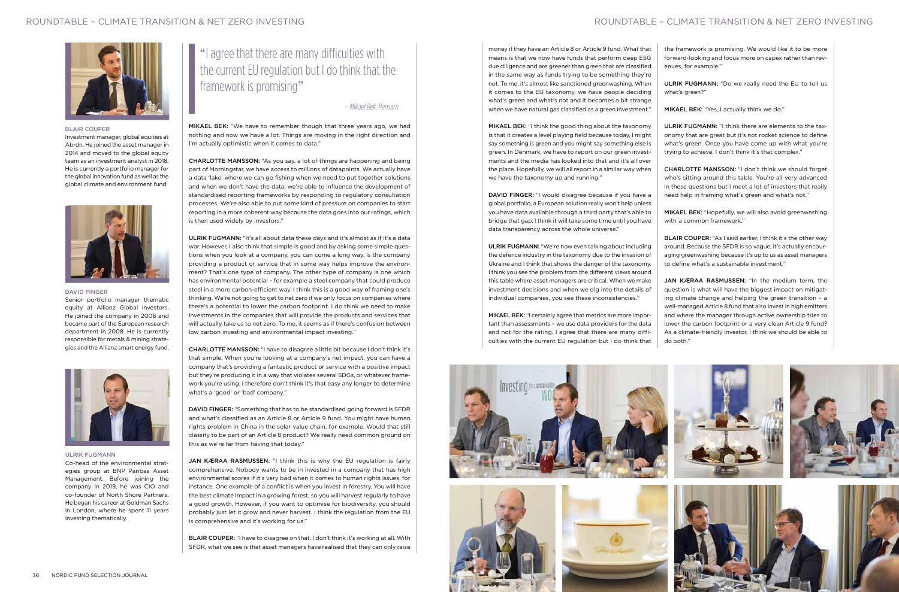

MIKAEL BEK: "We have to remember though that three years ago, we had nothing and now we have a lot. Things are moving in the right direction and I'm actually optimistic when it comes to data."

CHARLOTTE MANSSON: "As you say, a lot of things are happening and being part of Morningstar, we have access to millions of datapoints. We actually have a data 'lake' where we can go fishing when we need to put together solutions and when we don't have the data, we're able to influence the development of standardised reporting frameworks by responding to regulatory consultation processes. We're also able to put some kind of pressure on companies to start reporting in a more coherent way because the data goes into our ratings, which is then used widely by investors."

ULRIK FUGMANN: "It's all about data these days and it's almost as if it's a data war. However, I also think that simple is good and by asking some simple questions when you look at a company, you can come a long way. Is the company providing a product or service that in some way helps improve the environment? That's one type of company. The other type of company is one which has environmental potential – for example a steel company that could produce steel in a more carbon-efficient way. I think this is a good way of framing one's thinking. We're not going to get to net zero if we only focus on companies where there's a potential to lower the carbon footprint. I do think we need to make investments in the companies that will provide the products and services that will actually take us to net zero. To me, it seems as if there's confusion between low carbon investing and environmental impact investing."

JAN KÆRAA RASMUSSEN: "I think this is why the EU regulation is fairly comprehensive. Nobody wants to be in invested in a company that has high environmental scores if it's very bad when it comes to human rights issues, for instance. One example of a conflict is when you invest in forestry. You will have the best climate impact in a growing forest, so you will harvest regularly to have a good growth. However, if you want to optimise for biodiversity, you should probably just let it grow and never harvest. I think the regulation from the EU is comprehensive and it's working for us."

CHARLOTTE MANSSON: "I have to disagree a little bit because I don't think it's that simple. When you're looking at a company's net impact, you can have a company that's providing a fantastic product or service with a positive impact but they're producing it in a way that violates several SDGs, or whatever framework you're using. I therefore don't think it's that easy any longer to determine what's a 'good' or 'bad' company."

DAVID FINGER: "Something that has to be standardised going forward is SFDR and what's classified as an Article 8 or Article 9 fund. You might have human rights problem in China in the solar value chain, for example. Would that still classify to be part of an Article 8 product? We really need common ground on this as we're far from having that today."

BLAIR COUPER: "I have to disagree on that. I don't think it's working at all. With SFDR, what we see is that asset managers have realised that they can only raise

# "I agree that there are many difficulties with the current EU regulation but I do think that the framework is promising"

MIKAEL BEK: "I think the good thing about the taxonomy is that it creates a level playing field because today, I might say something is green and you might say something else is green. In Denmark, we have to report on our green investments and the media has looked into that and it's all over the place. Hopefully, we will all report in a similar way when we have the taxonomy up and running."

DAVID FINGER: "I would disagree because if you have a global portfolio, a European solution really won't help unless you have data available through a third party that's able to bridge that gap. I think it will take some time until you have data transparency across the whole universe."

money if they have an Article 8 or Article 9 fund. What that means is that we now have funds that perform deep ESG due diligence and are greener than green that are classified in the same way as funds trying to be something they're not. To me, it's almost like sanctioned greenwashing. When it comes to the EU taxonomy, we have people deciding what's green and what's not and it becomes a bit strange when we have natural gas classified as a green investment." the framework is promising. We would like it to be more forward-looking and focus more on capex rather than revenues, for example." ULRIK FUGMANN: "Do we really need the EU to tell us what's green?" MIKAEL BEK: "Yes, I actually think we do."

ULRIK FUGMANN: "We're now even talking about including the defence industry in the taxonomy due to the invasion of Ukraine and I think that shows the danger of the taxonomy. I think you see the problem from the different views around this table where asset managers are critical. When we make investment decisions and when we dig into the details of individual companies, you see these inconsistencies."

MIKAEL BEK: "I certainly agree that metrics are more important than assessments – we use data providers for the data and not for the rating. I agree that there are many difficulties with the current EU regulation but I do think that







ULRIK FUGMANN: "I think there are elements to the taxonomy that are great but it's not rocket science to define what's green. Once you have come up with what you're trying to achieve, I don't think it's that complex."

CHARLOTTE MANSSON: "I don't think we should forget who's sitting around this table. You're all very advanced in these questions but I meet a lot of investors that really need help in framing what's green and what's not."

MIKAEL BEK: "Hopefully, we will also avoid greenwashing with a common framework."

BLAIR COUPER: "As I said earlier, I think it's the other way around. Because the SFDR is so vague, it's actually encouraging greenwashing because it's up to us as asset managers to define what's a sustainable investment."

JAN KÆRAA RASMUSSEN: "In the medium term, the question is what will have the biggest impact on mitigating climate change and helping the green transition – a well-managed Article 8 fund that also invest in high emitters and where the manager through active ownership tries to lower the carbon footprint or a very clean Article 9 fund? As a climate-friendly investor, I think we should be able to do both."

# ROUNDTABLE – CLIMATE TRANSITION & NET ZERO INVESTING

#### DAVID FINGER

Senior portfolio manager thematic equity at Allianz Global Investors. He joined the company in 2006 and became part of the European research department in 2008. He is currently responsible for metals & mining strategies and the Allianz smart energy fund.



#### ULRIK FUGMANN

Co-head of the environmental strategies group at BNP Paribas Asset Management. Before joining the company in 2019, he was CIO and co-founder of North Shore Partners. He began his career at Goldman Sachs in London, where he spent 11 years investing thematically.

#### BLAIR COUPER

Investment manager, global equities at Abrdn. He joined the asset manager in 2014 and moved to the global equity team as an investment analyst in 2018. He is currently a portfolio manager for the global innovation fund as well as the global climate and environment fund.



– Mikael Bek, Pensam